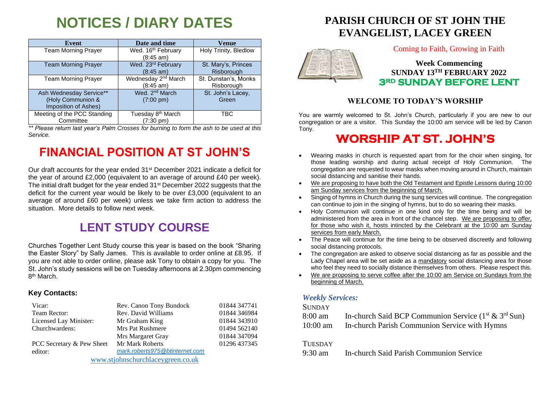# **NOTICES / DIARY DATES**

| Event                                                                | Date and time                                        | <b>Venue</b>                       |
|----------------------------------------------------------------------|------------------------------------------------------|------------------------------------|
| <b>Team Morning Prayer</b>                                           | Wed. 16 <sup>th</sup> February<br>(8:45 am)          | Holy Trinity, Bledlow              |
| <b>Team Morning Prayer</b>                                           | Wed. 23rd February<br>$(8:45 \text{ am})$            | St. Mary's, Princes<br>Risborough  |
| <b>Team Morning Prayer</b>                                           | Wednesday 2 <sup>nd</sup> March<br>(8:45 am)         | St. Dunstan's, Monks<br>Risborough |
| Ash Wednesday Service**<br>(Holy Communion &<br>Imposition of Ashes) | Wed. 2 <sup>nd</sup> March<br>$(7:00 \text{ pm})$    | St. John's Lacey,<br>Green         |
| Meeting of the PCC Standing<br>Committee                             | Tuesday 8 <sup>th</sup> March<br>$(7:30 \text{ pm})$ | TBC                                |

*\*\* Please return last year's Palm Crosses for burning to form the ash to be used at this Service.*

# **FINANCIAL POSITION AT ST JOHN'S**

Our draft accounts for the year ended 31<sup>st</sup> December 2021 indicate a deficit for the year of around £2,000 (equivalent to an average of around £40 per week). The initial draft budget for the year ended 31st December 2022 suggests that the deficit for the current year would be likely to be over £3,000 (equivalent to an average of around £60 per week) unless we take firm action to address the situation. More details to follow next week.

## **LENT STUDY COURSE**

Churches Together Lent Study course this year is based on the book "Sharing the Easter Story" by Sally James. This is available to order online at £8.95. If you are not able to order online, please ask Tony to obtain a copy for you. The St. John's study sessions will be on Tuesday afternoons at 2.30pm commencing 8<sup>th</sup> March.

#### **Key Contacts:**

| Vicar:                            | Rev. Canon Tony Bundock        | 01844 347741 |
|-----------------------------------|--------------------------------|--------------|
| Team Rector:                      | Rev. David Williams            | 01844 346984 |
| Licensed Lay Minister:            | Mr Graham King                 | 01844 343910 |
| Churchwardens:                    | <b>Mrs Pat Rushmere</b>        | 01494 562140 |
|                                   | Mrs Margaret Gray              | 01844 347094 |
| PCC Secretary & Pew Sheet         | Mr Mark Roberts                | 01296 437345 |
| editor:                           | mark.roberts975@btinternet.com |              |
| www.stjohnschurchlaceygreen.co.uk |                                |              |

## **PARISH CHURCH OF ST JOHN THE EVANGELIST, LACEY GREEN**



Coming to Faith, Growing in Faith

### **Week Commencing SUNDAY 13TH FEBRUARY 2022 3RD SUNDAY BEFORE LENT**

#### **WELCOME TO TODAY'S WORSHIP**

You are warmly welcomed to St. John's Church, particularly if you are new to our congregation or are a visitor. This Sunday the 10:00 am service will be led by Canon Tony.

## **WORSHIP AT ST. JOHN'S**

- Wearing masks in church is requested apart from for the choir when singing, for those leading worship and during actual receipt of Holy Communion. The congregation are requested to wear masks when moving around in Church, maintain social distancing and sanitise their hands.
- We are proposing to have both the Old Testament and Epistle Lessons during 10:00 am Sunday services from the beginning of March.
- Singing of hymns in Church during the sung services will continue. The congregation can continue to join in the singing of hymns, but to do so wearing their masks.
- Holy Communion will continue in one kind only for the time being and will be administered from the area in front of the chancel step. We are proposing to offer, for those who wish it, hosts intincted by the Celebrant at the 10:00 am Sunday services from early March.
- The Peace will continue for the time being to be observed discreetly and following social distancing protocols.
- The congregation are asked to observe social distancing as far as possible and the Lady Chapel area will be set aside as a mandatory social distancing area for those who feel they need to socially distance themselves from others. Please respect this.
- We are proposing to serve coffee after the 10:00 am Service on Sundays from the beginning of March.

#### *Weekly Services:*

#### **SUNDAY**

| 8:00 am    | In-church Said BCP Communion Service $(1^{st} \& 3^{rd} Sun)$ |
|------------|---------------------------------------------------------------|
| $10:00$ am | In-church Parish Communion Service with Hymns                 |

#### **TUESDAY**

9:30 am In-church Said Parish Communion Service